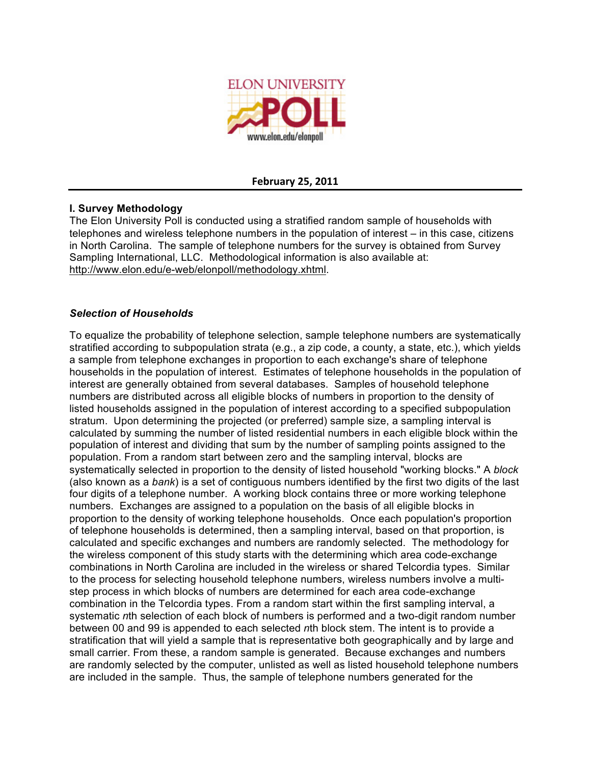

### **February
25,
2011**

### **I. Survey Methodology**

The Elon University Poll is conducted using a stratified random sample of households with telephones and wireless telephone numbers in the population of interest – in this case, citizens in North Carolina. The sample of telephone numbers for the survey is obtained from Survey Sampling International, LLC. Methodological information is also available at: http://www.elon.edu/e-web/elonpoll/methodology.xhtml.

### *Selection of Households*

To equalize the probability of telephone selection, sample telephone numbers are systematically stratified according to subpopulation strata (e.g., a zip code, a county, a state, etc.), which yields a sample from telephone exchanges in proportion to each exchange's share of telephone households in the population of interest. Estimates of telephone households in the population of interest are generally obtained from several databases. Samples of household telephone numbers are distributed across all eligible blocks of numbers in proportion to the density of listed households assigned in the population of interest according to a specified subpopulation stratum. Upon determining the projected (or preferred) sample size, a sampling interval is calculated by summing the number of listed residential numbers in each eligible block within the population of interest and dividing that sum by the number of sampling points assigned to the population. From a random start between zero and the sampling interval, blocks are systematically selected in proportion to the density of listed household "working blocks." A *block* (also known as a *bank*) is a set of contiguous numbers identified by the first two digits of the last four digits of a telephone number. A working block contains three or more working telephone numbers. Exchanges are assigned to a population on the basis of all eligible blocks in proportion to the density of working telephone households. Once each population's proportion of telephone households is determined, then a sampling interval, based on that proportion, is calculated and specific exchanges and numbers are randomly selected. The methodology for the wireless component of this study starts with the determining which area code-exchange combinations in North Carolina are included in the wireless or shared Telcordia types. Similar to the process for selecting household telephone numbers, wireless numbers involve a multistep process in which blocks of numbers are determined for each area code-exchange combination in the Telcordia types. From a random start within the first sampling interval, a systematic *n*th selection of each block of numbers is performed and a two-digit random number between 00 and 99 is appended to each selected *n*th block stem. The intent is to provide a stratification that will yield a sample that is representative both geographically and by large and small carrier. From these, a random sample is generated. Because exchanges and numbers are randomly selected by the computer, unlisted as well as listed household telephone numbers are included in the sample. Thus, the sample of telephone numbers generated for the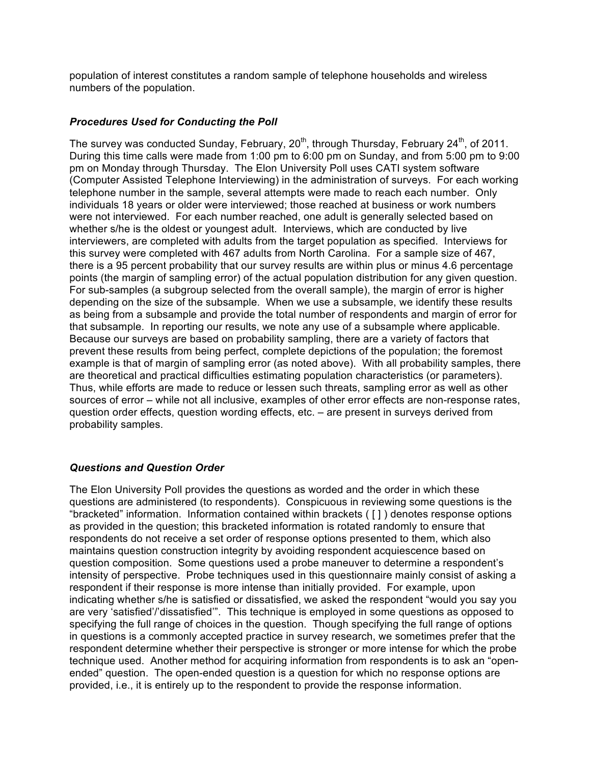population of interest constitutes a random sample of telephone households and wireless numbers of the population.

### *Procedures Used for Conducting the Poll*

The survey was conducted Sunday, February, 20<sup>th</sup>, through Thursday, February 24<sup>th</sup>, of 2011. During this time calls were made from 1:00 pm to 6:00 pm on Sunday, and from 5:00 pm to 9:00 pm on Monday through Thursday. The Elon University Poll uses CATI system software (Computer Assisted Telephone Interviewing) in the administration of surveys. For each working telephone number in the sample, several attempts were made to reach each number. Only individuals 18 years or older were interviewed; those reached at business or work numbers were not interviewed. For each number reached, one adult is generally selected based on whether s/he is the oldest or youngest adult. Interviews, which are conducted by live interviewers, are completed with adults from the target population as specified. Interviews for this survey were completed with 467 adults from North Carolina. For a sample size of 467, there is a 95 percent probability that our survey results are within plus or minus 4.6 percentage points (the margin of sampling error) of the actual population distribution for any given question. For sub-samples (a subgroup selected from the overall sample), the margin of error is higher depending on the size of the subsample. When we use a subsample, we identify these results as being from a subsample and provide the total number of respondents and margin of error for that subsample. In reporting our results, we note any use of a subsample where applicable. Because our surveys are based on probability sampling, there are a variety of factors that prevent these results from being perfect, complete depictions of the population; the foremost example is that of margin of sampling error (as noted above). With all probability samples, there are theoretical and practical difficulties estimating population characteristics (or parameters). Thus, while efforts are made to reduce or lessen such threats, sampling error as well as other sources of error – while not all inclusive, examples of other error effects are non-response rates, question order effects, question wording effects, etc. – are present in surveys derived from probability samples.

### *Questions and Question Order*

The Elon University Poll provides the questions as worded and the order in which these questions are administered (to respondents). Conspicuous in reviewing some questions is the "bracketed" information. Information contained within brackets ( [ ] ) denotes response options as provided in the question; this bracketed information is rotated randomly to ensure that respondents do not receive a set order of response options presented to them, which also maintains question construction integrity by avoiding respondent acquiescence based on question composition. Some questions used a probe maneuver to determine a respondent's intensity of perspective. Probe techniques used in this questionnaire mainly consist of asking a respondent if their response is more intense than initially provided. For example, upon indicating whether s/he is satisfied or dissatisfied, we asked the respondent "would you say you are very 'satisfied'/'dissatisfied'". This technique is employed in some questions as opposed to specifying the full range of choices in the question. Though specifying the full range of options in questions is a commonly accepted practice in survey research, we sometimes prefer that the respondent determine whether their perspective is stronger or more intense for which the probe technique used. Another method for acquiring information from respondents is to ask an "openended" question. The open-ended question is a question for which no response options are provided, i.e., it is entirely up to the respondent to provide the response information.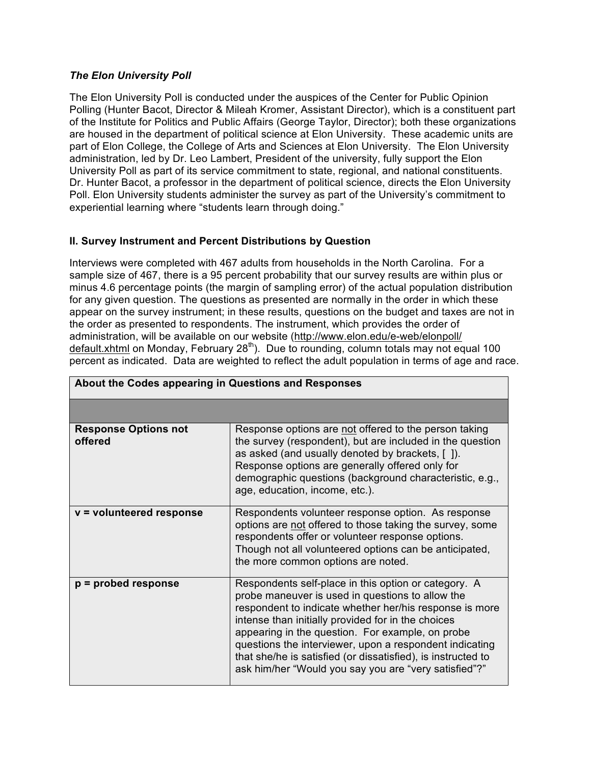### *The Elon University Poll*

The Elon University Poll is conducted under the auspices of the Center for Public Opinion Polling (Hunter Bacot, Director & Mileah Kromer, Assistant Director), which is a constituent part of the Institute for Politics and Public Affairs (George Taylor, Director); both these organizations are housed in the department of political science at Elon University. These academic units are part of Elon College, the College of Arts and Sciences at Elon University. The Elon University administration, led by Dr. Leo Lambert, President of the university, fully support the Elon University Poll as part of its service commitment to state, regional, and national constituents. Dr. Hunter Bacot, a professor in the department of political science, directs the Elon University Poll. Elon University students administer the survey as part of the University's commitment to experiential learning where "students learn through doing."

## **II. Survey Instrument and Percent Distributions by Question**

Interviews were completed with 467 adults from households in the North Carolina. For a sample size of 467, there is a 95 percent probability that our survey results are within plus or minus 4.6 percentage points (the margin of sampling error) of the actual population distribution for any given question. The questions as presented are normally in the order in which these appear on the survey instrument; in these results, questions on the budget and taxes are not in the order as presented to respondents. The instrument, which provides the order of administration, will be available on our website (http://www.elon.edu/e-web/elonpoll/ default.xhtml on Monday, February 28<sup>th</sup>). Due to rounding, column totals may not equal 100 percent as indicated. Data are weighted to reflect the adult population in terms of age and race.

| About the Codes appearing in Questions and Responses |                                                                                                                                                                                                                                                                                                                                                                                                                                                                   |  |
|------------------------------------------------------|-------------------------------------------------------------------------------------------------------------------------------------------------------------------------------------------------------------------------------------------------------------------------------------------------------------------------------------------------------------------------------------------------------------------------------------------------------------------|--|
|                                                      |                                                                                                                                                                                                                                                                                                                                                                                                                                                                   |  |
| <b>Response Options not</b><br>offered               | Response options are not offered to the person taking<br>the survey (respondent), but are included in the question<br>as asked (and usually denoted by brackets, [ ]).<br>Response options are generally offered only for<br>demographic questions (background characteristic, e.g.,<br>age, education, income, etc.).                                                                                                                                            |  |
| v = volunteered response                             | Respondents volunteer response option. As response<br>options are not offered to those taking the survey, some<br>respondents offer or volunteer response options.<br>Though not all volunteered options can be anticipated,<br>the more common options are noted.                                                                                                                                                                                                |  |
| $p =$ probed response                                | Respondents self-place in this option or category. A<br>probe maneuver is used in questions to allow the<br>respondent to indicate whether her/his response is more<br>intense than initially provided for in the choices<br>appearing in the question. For example, on probe<br>questions the interviewer, upon a respondent indicating<br>that she/he is satisfied (or dissatisfied), is instructed to<br>ask him/her "Would you say you are "very satisfied"?" |  |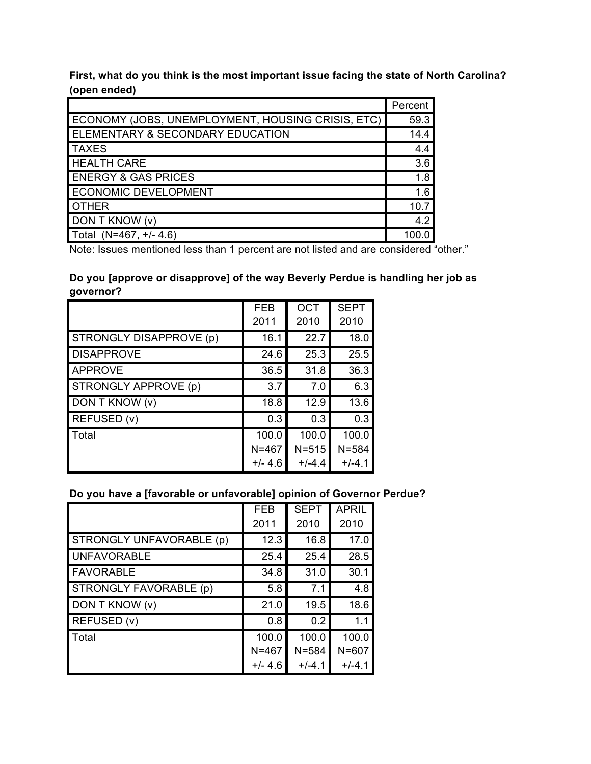**First, what do you think is the most important issue facing the state of North Carolina? (open ended)**

|                                                   | Percent |
|---------------------------------------------------|---------|
| ECONOMY (JOBS, UNEMPLOYMENT, HOUSING CRISIS, ETC) | 59.3    |
| ELEMENTARY & SECONDARY EDUCATION                  | 14.4    |
| <b>TAXES</b>                                      | 4.4     |
| <b>HEALTH CARE</b>                                | 3.6     |
| <b>ENERGY &amp; GAS PRICES</b>                    | 1.8     |
| ECONOMIC DEVELOPMENT                              | 1.6     |
| <b>OTHER</b>                                      | 10.7    |
| DON T KNOW (v)                                    | 4.2     |
| Total (N=467, +/- 4.6)                            | 100.0   |

Note: Issues mentioned less than 1 percent are not listed and are considered "other."

# **Do you [approve or disapprove] of the way Beverly Perdue is handling her job as governor?**

|                                | <b>FEB</b> | <b>OCT</b> | <b>SEPT</b> |
|--------------------------------|------------|------------|-------------|
|                                | 2011       | 2010       | 2010        |
| <b>STRONGLY DISAPPROVE (p)</b> | 16.1       | 22.7       | 18.0        |
| <b>DISAPPROVE</b>              | 24.6       | 25.3       | 25.5        |
| <b>APPROVE</b>                 | 36.5       | 31.8       | 36.3        |
| <b>STRONGLY APPROVE (p)</b>    | 3.7        | 7.0        | 6.3         |
| DON T KNOW (v)                 | 18.8       | 12.9       | 13.6        |
| REFUSED (v)                    | 0.3        | 0.3        | 0.3         |
| <b>Total</b>                   | 100.0      | 100.0      | 100.0       |
|                                | $N = 467$  | $N = 515$  | $N = 584$   |
|                                | $+/- 4.6$  | $+/-4.4$   | $+/-4.1$    |

## **Do you have a [favorable or unfavorable] opinion of Governor Perdue?**

|                          | <b>FEB</b> | <b>SEPT</b> | <b>APRIL</b> |
|--------------------------|------------|-------------|--------------|
|                          | 2011       | 2010        | 2010         |
| STRONGLY UNFAVORABLE (p) | 12.3       | 16.8        | 17.0         |
| <b>UNFAVORABLE</b>       | 25.4       | 25.4        | 28.5         |
| <b>FAVORABLE</b>         | 34.8       | 31.0        | 30.1         |
| STRONGLY FAVORABLE (p)   | 5.8        | 7.1         | 4.8          |
| DON T KNOW (v)           | 21.0       | 19.5        | 18.6         |
| REFUSED (v)              | 0.8        | 0.2         | 1.1          |
| Total                    | 100.0      | 100.0       | 100.0        |
|                          | $N = 467$  | $N = 584$   | $N = 607$    |
|                          | $+/- 4.6$  | $+/-4.1$    | $+/-4.1$     |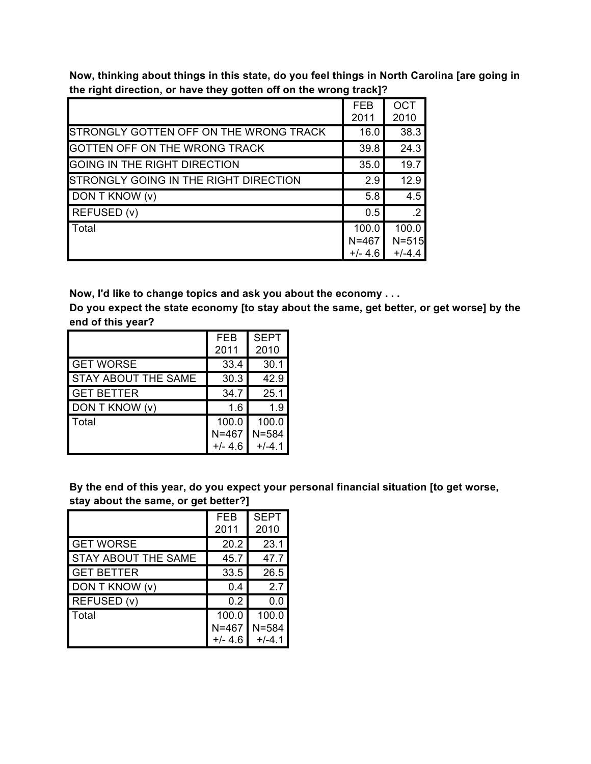**Now, thinking about things in this state, do you feel things in North Carolina [are going in the right direction, or have they gotten off on the wrong track]?**

|                                        | <b>FEB</b><br>2011 | <b>OCT</b><br>2010 |
|----------------------------------------|--------------------|--------------------|
| STRONGLY GOTTEN OFF ON THE WRONG TRACK | 16.0               | 38.3               |
| <b>GOTTEN OFF ON THE WRONG TRACK</b>   | 39.8               | 24.3               |
| GOING IN THE RIGHT DIRECTION           | 35.0               | 19.7               |
| STRONGLY GOING IN THE RIGHT DIRECTION  | 2.9                | 12.9               |
| DON T KNOW (v)                         | 5.8                | 4.5                |
| <b>REFUSED (v)</b>                     | 0.5                | $\cdot$ 2          |
| Total                                  | 100.0              | 100.0              |
|                                        | $N = 467$          | $N = 515$          |
|                                        | $+/- 4.6$          | $+/-4.4$           |

**Now, I'd like to change topics and ask you about the economy . . .**

**Do you expect the state economy [to stay about the same, get better, or get worse] by the end of this year?**

|                            | <b>FEB</b> | <b>SEPT</b> |
|----------------------------|------------|-------------|
|                            | 2011       | 2010        |
| <b>GET WORSE</b>           | 33.4       | 30.1        |
| <b>STAY ABOUT THE SAME</b> | 30.3       | 42.9        |
| <b>GET BETTER</b>          | 34.7       | 25.1        |
| DON T KNOW (v)             | 1.6        | 1.9         |
| Total                      | 100.0      | 100.0       |
|                            | $N = 467$  | $N = 584$   |
|                            | $+/- 4.6$  | $+/-4$ 1    |

**By the end of this year, do you expect your personal financial situation [to get worse, stay about the same, or get better?]**

|                            | <b>FEB</b> | <b>SEPT</b> |
|----------------------------|------------|-------------|
|                            | 2011       | 2010        |
| <b>GET WORSE</b>           | 20.2       | 23.1        |
| <b>STAY ABOUT THE SAME</b> | 45.7       | 47.7        |
| <b>GET BETTER</b>          | 33.5       | 26.5        |
| DON T KNOW (v)             | 0.4        | 2.7         |
| REFUSED (v)                | 0.2        | 0.0         |
| Total                      | 100.0      | 100.0       |
|                            | $N = 467$  | $N = 584$   |
|                            | $+/- 4.6$  | $+/-4.1$    |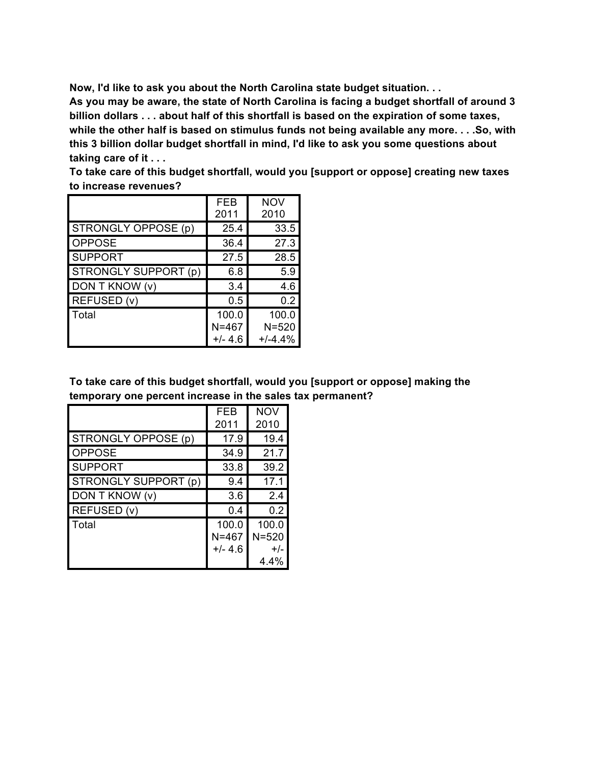**Now, I'd like to ask you about the North Carolina state budget situation. . .**

**As you may be aware, the state of North Carolina is facing a budget shortfall of around 3 billion dollars . . . about half of this shortfall is based on the expiration of some taxes, while the other half is based on stimulus funds not being available any more. . . .So, with this 3 billion dollar budget shortfall in mind, I'd like to ask you some questions about taking care of it . . .**

| To take care of this budget shortfall, would you [support or oppose] creating new taxes |  |
|-----------------------------------------------------------------------------------------|--|
| to increase revenues?                                                                   |  |

|                      | <b>FEB</b><br>2011              | <b>NOV</b><br>2010              |
|----------------------|---------------------------------|---------------------------------|
| STRONGLY OPPOSE (p)  | 25.4                            | 33.5                            |
| <b>OPPOSE</b>        | 36.4                            | 27.3                            |
| <b>SUPPORT</b>       | 27.5                            | 28.5                            |
| STRONGLY SUPPORT (p) | 6.8                             | 5.9                             |
| DON T KNOW (v)       | 3.4                             | 4.6                             |
| REFUSED (v)          | 0.5                             | 0.2                             |
| Total                | 100.0<br>$N = 467$<br>$+/- 4.6$ | 100.0<br>$N = 520$<br>$+/-4.4%$ |

**To take care of this budget shortfall, would you [support or oppose] making the temporary one percent increase in the sales tax permanent?**

|                            | FEB<br>2011 | <b>NOV</b><br>2010 |
|----------------------------|-------------|--------------------|
| <b>STRONGLY OPPOSE (p)</b> | 17.9        | 19.4               |
| <b>OPPOSE</b>              | 34.9        | 21.7               |
| <b>SUPPORT</b>             | 33.8        | 39.2               |
| STRONGLY SUPPORT (p)       | 9.4         | 17.1               |
| DON T KNOW (v)             | 3.6         | 2.4                |
| REFUSED (v)                | 0.4         | 0.2                |
| Total                      | 100.0       | 100.0              |
|                            | $N = 467$   | $N = 520$          |
|                            | $+/- 4.6$   | $+/-$              |
|                            |             | 4.4%               |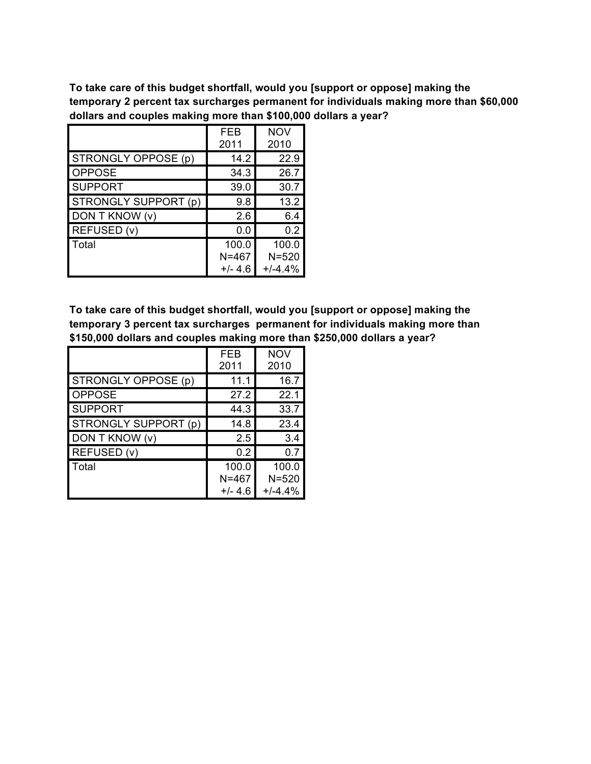**To take care of this budget shortfall, would you [support or oppose] making the temporary 2 percent tax surcharges permanent for individuals making more than \$60,000 dollars and couples making more than \$100,000 dollars a year?**

|                      | FEB<br>2011                     | <b>NOV</b><br>2010              |
|----------------------|---------------------------------|---------------------------------|
| STRONGLY OPPOSE (p)  | 14.2                            | 22.9                            |
| <b>OPPOSE</b>        | 34.3                            | 26.7                            |
| <b>SUPPORT</b>       | 39.0                            | 30.7                            |
| STRONGLY SUPPORT (p) | 9.8                             | 13.2                            |
| DON T KNOW (v)       | 2.6                             | 6.4                             |
| REFUSED (v)          | 0.0                             | 0.2                             |
| Total                | 100.0<br>$N = 467$<br>$+/- 4.6$ | 100.0<br>$N = 520$<br>$+/-4.4%$ |

**To take care of this budget shortfall, would you [support or oppose] making the temporary 3 percent tax surcharges permanent for individuals making more than \$150,000 dollars and couples making more than \$250,000 dollars a year?**

|                      | FEB<br>2011 | <b>NOV</b><br>2010 |
|----------------------|-------------|--------------------|
| STRONGLY OPPOSE (p)  | 11.1        | 16.7               |
| <b>OPPOSE</b>        | 27.2        | 22.1               |
| <b>SUPPORT</b>       | 44.3        | 33.7               |
| STRONGLY SUPPORT (p) | 14.8        | 23.4               |
| DON T KNOW (v)       | 2.5         | 3.4                |
| REFUSED (v)          | 0.2         | 0.7                |
| Total                | 100.0       | 100.0              |
|                      | $N = 467$   | $N = 520$          |
|                      | $+/- 4.6$   | $+/-4.4%$          |